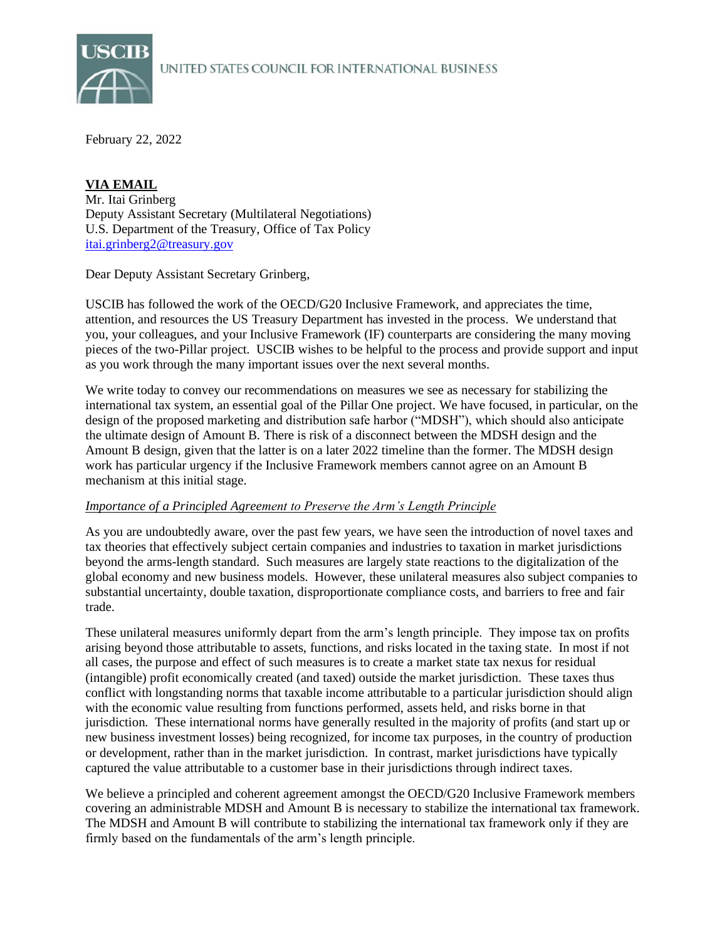

February 22, 2022

## [itai.grinberg2@treasury.gov](mailto:itai.grinberg2@treasury.gov) **VIA EMAIL** Mr. Itai Grinberg Deputy Assistant Secretary (Multilateral Negotiations) U.S. Department of the Treasury, Office of Tax Policy

Dear Deputy Assistant Secretary Grinberg,

USCIB has followed the work of the OECD/G20 Inclusive Framework, and appreciates the time, attention, and resources the US Treasury Department has invested in the process. We understand that you, your colleagues, and your Inclusive Framework (IF) counterparts are considering the many moving pieces of the two-Pillar project. USCIB wishes to be helpful to the process and provide support and input as you work through the many important issues over the next several months.

We write today to convey our recommendations on measures we see as necessary for stabilizing the international tax system, an essential goal of the Pillar One project. We have focused, in particular, on the design of the proposed marketing and distribution safe harbor ("MDSH"), which should also anticipate the ultimate design of Amount B. There is risk of a disconnect between the MDSH design and the Amount B design, given that the latter is on a later 2022 timeline than the former. The MDSH design work has particular urgency if the Inclusive Framework members cannot agree on an Amount B mechanism at this initial stage.

# *Importance of a Principled Agreement to Preserve the Arm's Length Principle*

As you are undoubtedly aware, over the past few years, we have seen the introduction of novel taxes and tax theories that effectively subject certain companies and industries to taxation in market jurisdictions beyond the arms-length standard. Such measures are largely state reactions to the digitalization of the global economy and new business models. However, these unilateral measures also subject companies to substantial uncertainty, double taxation, disproportionate compliance costs, and barriers to free and fair trade.

These unilateral measures uniformly depart from the arm's length principle. They impose tax on profits arising beyond those attributable to assets, functions, and risks located in the taxing state. In most if not all cases, the purpose and effect of such measures is to create a market state tax nexus for residual (intangible) profit economically created (and taxed) outside the market jurisdiction. These taxes thus conflict with longstanding norms that taxable income attributable to a particular jurisdiction should align with the economic value resulting from functions performed, assets held, and risks borne in that jurisdiction. These international norms have generally resulted in the majority of profits (and start up or new business investment losses) being recognized, for income tax purposes, in the country of production or development, rather than in the market jurisdiction. In contrast, market jurisdictions have typically captured the value attributable to a customer base in their jurisdictions through indirect taxes.

We believe a principled and coherent agreement amongst the OECD/G20 Inclusive Framework members covering an administrable MDSH and Amount B is necessary to stabilize the international tax framework. The MDSH and Amount B will contribute to stabilizing the international tax framework only if they are firmly based on the fundamentals of the arm's length principle.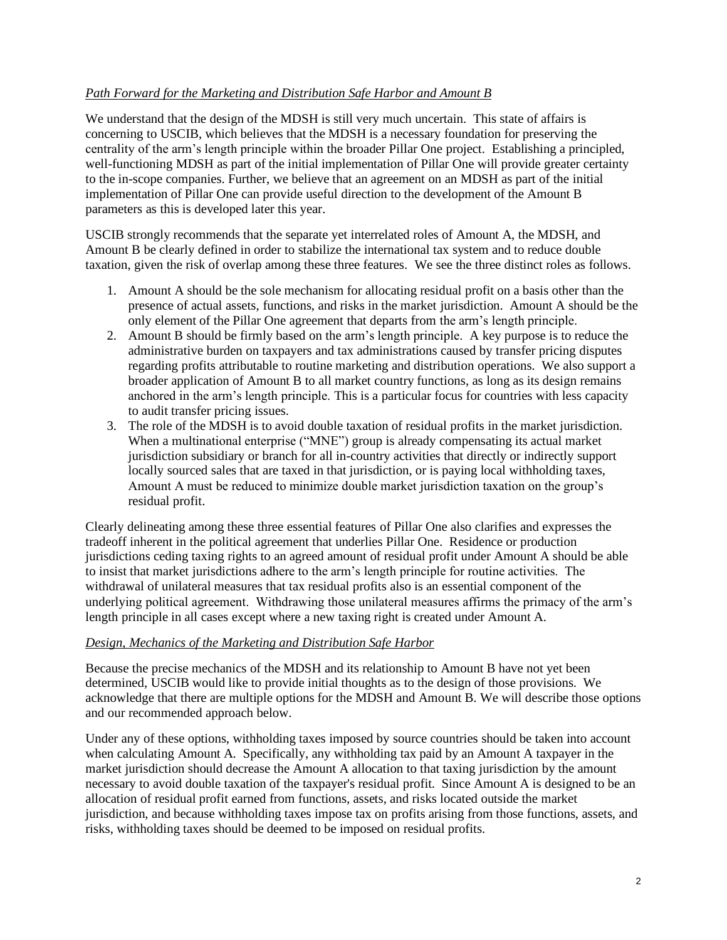## *Path Forward for the Marketing and Distribution Safe Harbor and Amount B*

We understand that the design of the MDSH is still very much uncertain. This state of affairs is concerning to USCIB, which believes that the MDSH is a necessary foundation for preserving the centrality of the arm's length principle within the broader Pillar One project. Establishing a principled, well-functioning MDSH as part of the initial implementation of Pillar One will provide greater certainty to the in-scope companies. Further, we believe that an agreement on an MDSH as part of the initial implementation of Pillar One can provide useful direction to the development of the Amount B parameters as this is developed later this year.

USCIB strongly recommends that the separate yet interrelated roles of Amount A, the MDSH, and Amount B be clearly defined in order to stabilize the international tax system and to reduce double taxation, given the risk of overlap among these three features. We see the three distinct roles as follows.

- 1. Amount A should be the sole mechanism for allocating residual profit on a basis other than the presence of actual assets, functions, and risks in the market jurisdiction. Amount A should be the only element of the Pillar One agreement that departs from the arm's length principle.
- 2. Amount B should be firmly based on the arm's length principle. A key purpose is to reduce the administrative burden on taxpayers and tax administrations caused by transfer pricing disputes regarding profits attributable to routine marketing and distribution operations. We also support a broader application of Amount B to all market country functions, as long as its design remains anchored in the arm's length principle. This is a particular focus for countries with less capacity to audit transfer pricing issues.
- 3. The role of the MDSH is to avoid double taxation of residual profits in the market jurisdiction. When a multinational enterprise ("MNE") group is already compensating its actual market jurisdiction subsidiary or branch for all in-country activities that directly or indirectly support locally sourced sales that are taxed in that jurisdiction, or is paying local withholding taxes, Amount A must be reduced to minimize double market jurisdiction taxation on the group's residual profit.

Clearly delineating among these three essential features of Pillar One also clarifies and expresses the tradeoff inherent in the political agreement that underlies Pillar One. Residence or production jurisdictions ceding taxing rights to an agreed amount of residual profit under Amount A should be able to insist that market jurisdictions adhere to the arm's length principle for routine activities. The withdrawal of unilateral measures that tax residual profits also is an essential component of the underlying political agreement. Withdrawing those unilateral measures affirms the primacy of the arm's length principle in all cases except where a new taxing right is created under Amount A.

# *Design, Mechanics of the Marketing and Distribution Safe Harbor*

Because the precise mechanics of the MDSH and its relationship to Amount B have not yet been determined, USCIB would like to provide initial thoughts as to the design of those provisions. We acknowledge that there are multiple options for the MDSH and Amount B. We will describe those options and our recommended approach below.

Under any of these options, withholding taxes imposed by source countries should be taken into account when calculating Amount A. Specifically, any withholding tax paid by an Amount A taxpayer in the market jurisdiction should decrease the Amount A allocation to that taxing jurisdiction by the amount necessary to avoid double taxation of the taxpayer's residual profit. Since Amount A is designed to be an allocation of residual profit earned from functions, assets, and risks located outside the market jurisdiction, and because withholding taxes impose tax on profits arising from those functions, assets, and risks, withholding taxes should be deemed to be imposed on residual profits.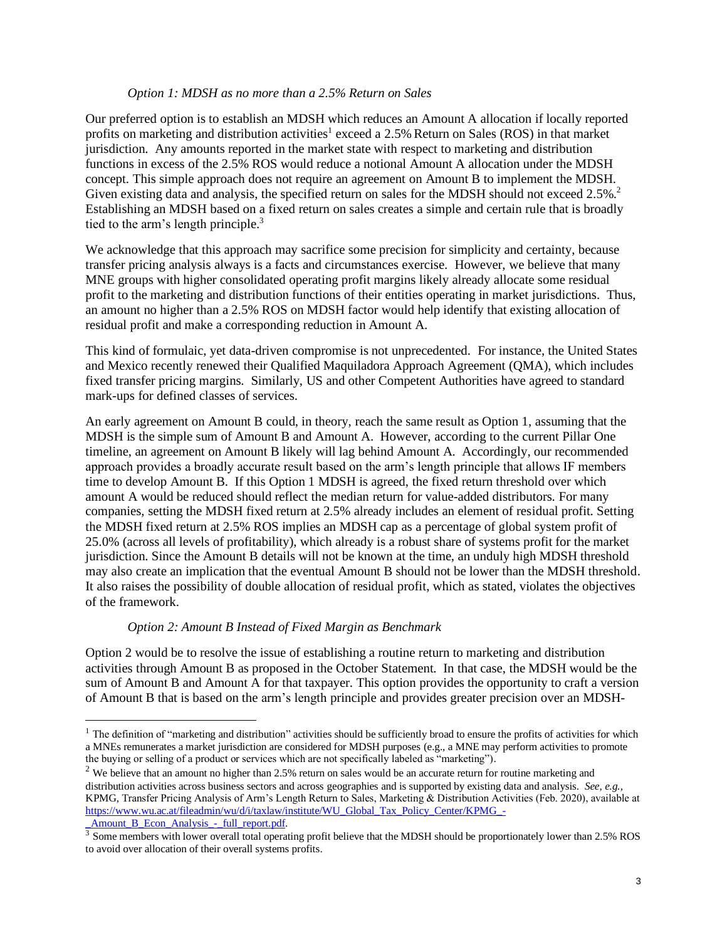#### *Option 1: MDSH as no more than a 2.5% Return on Sales*

Our preferred option is to establish an MDSH which reduces an Amount A allocation if locally reported profits on marketing and distribution activities<sup>1</sup> exceed a 2.5% Return on Sales (ROS) in that market jurisdiction. Any amounts reported in the market state with respect to marketing and distribution functions in excess of the 2.5% ROS would reduce a notional Amount A allocation under the MDSH concept. This simple approach does not require an agreement on Amount B to implement the MDSH. Given existing data and analysis, the specified return on sales for the MDSH should not exceed 2.5%.<sup>2</sup> Establishing an MDSH based on a fixed return on sales creates a simple and certain rule that is broadly tied to the arm's length principle. 3

We acknowledge that this approach may sacrifice some precision for simplicity and certainty, because transfer pricing analysis always is a facts and circumstances exercise. However, we believe that many MNE groups with higher consolidated operating profit margins likely already allocate some residual profit to the marketing and distribution functions of their entities operating in market jurisdictions. Thus, an amount no higher than a 2.5% ROS on MDSH factor would help identify that existing allocation of residual profit and make a corresponding reduction in Amount A.

This kind of formulaic, yet data-driven compromise is not unprecedented. For instance, the United States and Mexico recently renewed their Qualified Maquiladora Approach Agreement (QMA), which includes fixed transfer pricing margins. Similarly, US and other Competent Authorities have agreed to standard mark-ups for defined classes of services.

An early agreement on Amount B could, in theory, reach the same result as Option 1, assuming that the MDSH is the simple sum of Amount B and Amount A. However, according to the current Pillar One timeline, an agreement on Amount B likely will lag behind Amount A. Accordingly, our recommended approach provides a broadly accurate result based on the arm's length principle that allows IF members time to develop Amount B. If this Option 1 MDSH is agreed, the fixed return threshold over which amount A would be reduced should reflect the median return for value-added distributors. For many companies, setting the MDSH fixed return at 2.5% already includes an element of residual profit. Setting the MDSH fixed return at 2.5% ROS implies an MDSH cap as a percentage of global system profit of 25.0% (across all levels of profitability), which already is a robust share of systems profit for the market jurisdiction. Since the Amount B details will not be known at the time, an unduly high MDSH threshold may also create an implication that the eventual Amount B should not be lower than the MDSH threshold. It also raises the possibility of double allocation of residual profit, which as stated, violates the objectives of the framework.

### *Option 2: Amount B Instead of Fixed Margin as Benchmark*

Option 2 would be to resolve the issue of establishing a routine return to marketing and distribution activities through Amount B as proposed in the October Statement. In that case, the MDSH would be the sum of Amount B and Amount A for that taxpayer. This option provides the opportunity to craft a version of Amount B that is based on the arm's length principle and provides greater precision over an MDSH-

<sup>&</sup>lt;sup>1</sup> The definition of "marketing and distribution" activities should be sufficiently broad to ensure the profits of activities for which a MNEs remunerates a market jurisdiction are considered for MDSH purposes (e.g., a MNE may perform activities to promote the buying or selling of a product or services which are not specifically labeled as "marketing").

 $2$  We believe that an amount no higher than 2.5% return on sales would be an accurate return for routine marketing and distribution activities across business sectors and across geographies and is supported by existing data and analysis. *See, e.g.,*  KPMG, Transfer Pricing Analysis of Arm's Length Return to Sales, Marketing & Distribution Activities (Feb. 2020), available at [https://www.wu.ac.at/fileadmin/wu/d/i/taxlaw/institute/WU\\_Global\\_Tax\\_Policy\\_Center/KPMG\\_-](https://www.wu.ac.at/fileadmin/wu/d/i/taxlaw/institute/WU_Global_Tax_Policy_Center/KPMG_-_Amount_B_Econ_Analysis_-_full_report.pdf) Amount B Econ Analysis - full report.pdf.

<sup>&</sup>lt;sup>3</sup> Some members with lower overall total operating profit believe that the MDSH should be proportionately lower than 2.5% ROS to avoid over allocation of their overall systems profits.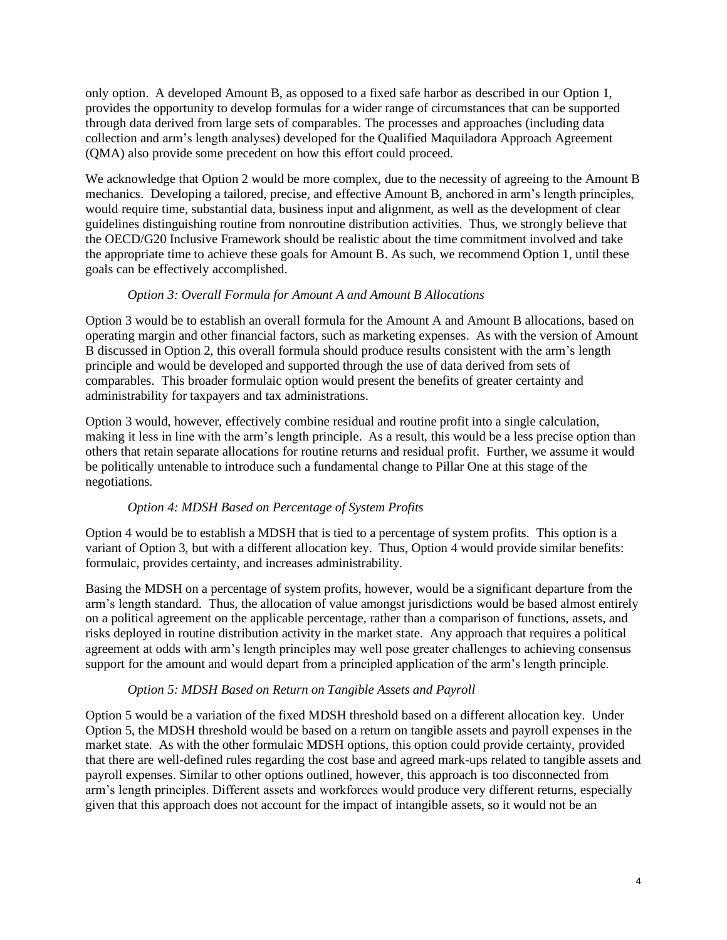only option. A developed Amount B, as opposed to a fixed safe harbor as described in our Option 1, provides the opportunity to develop formulas for a wider range of circumstances that can be supported through data derived from large sets of comparables. The processes and approaches (including data collection and arm's length analyses) developed for the Qualified Maquiladora Approach Agreement (QMA) also provide some precedent on how this effort could proceed.

We acknowledge that Option 2 would be more complex, due to the necessity of agreeing to the Amount B mechanics. Developing a tailored, precise, and effective Amount B, anchored in arm's length principles, would require time, substantial data, business input and alignment, as well as the development of clear guidelines distinguishing routine from nonroutine distribution activities. Thus, we strongly believe that the OECD/G20 Inclusive Framework should be realistic about the time commitment involved and take the appropriate time to achieve these goals for Amount B. As such, we recommend Option 1, until these goals can be effectively accomplished.

## *Option 3: Overall Formula for Amount A and Amount B Allocations*

Option 3 would be to establish an overall formula for the Amount A and Amount B allocations, based on operating margin and other financial factors, such as marketing expenses. As with the version of Amount B discussed in Option 2, this overall formula should produce results consistent with the arm's length principle and would be developed and supported through the use of data derived from sets of comparables. This broader formulaic option would present the benefits of greater certainty and administrability for taxpayers and tax administrations.

Option 3 would, however, effectively combine residual and routine profit into a single calculation, making it less in line with the arm's length principle. As a result, this would be a less precise option than others that retain separate allocations for routine returns and residual profit. Further, we assume it would be politically untenable to introduce such a fundamental change to Pillar One at this stage of the negotiations.

### *Option 4: MDSH Based on Percentage of System Profits*

Option 4 would be to establish a MDSH that is tied to a percentage of system profits. This option is a variant of Option 3, but with a different allocation key. Thus, Option 4 would provide similar benefits: formulaic, provides certainty, and increases administrability.

Basing the MDSH on a percentage of system profits, however, would be a significant departure from the arm's length standard. Thus, the allocation of value amongst jurisdictions would be based almost entirely on a political agreement on the applicable percentage, rather than a comparison of functions, assets, and risks deployed in routine distribution activity in the market state. Any approach that requires a political agreement at odds with arm's length principles may well pose greater challenges to achieving consensus support for the amount and would depart from a principled application of the arm's length principle.

# *Option 5: MDSH Based on Return on Tangible Assets and Payroll*

Option 5 would be a variation of the fixed MDSH threshold based on a different allocation key. Under Option 5, the MDSH threshold would be based on a return on tangible assets and payroll expenses in the market state. As with the other formulaic MDSH options, this option could provide certainty, provided that there are well-defined rules regarding the cost base and agreed mark-ups related to tangible assets and payroll expenses. Similar to other options outlined, however, this approach is too disconnected from arm's length principles. Different assets and workforces would produce very different returns, especially given that this approach does not account for the impact of intangible assets, so it would not be an